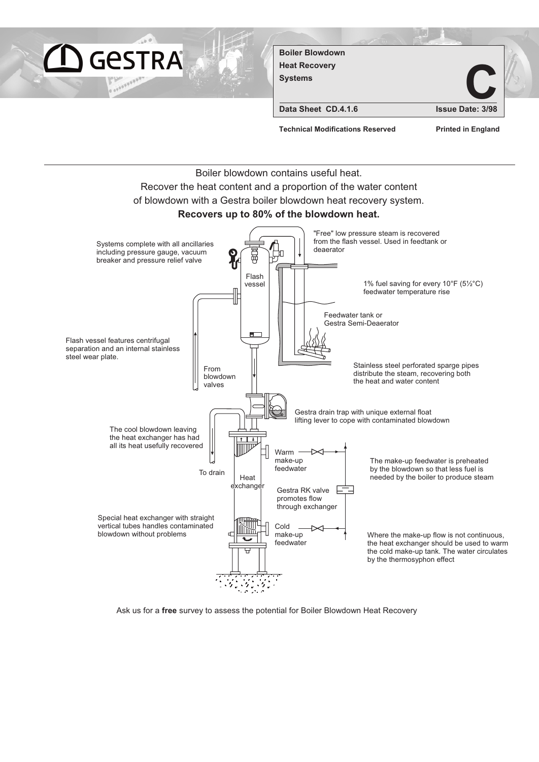

Ask us for a free survey to assess the potential for Boiler Blowdown Heat Recovery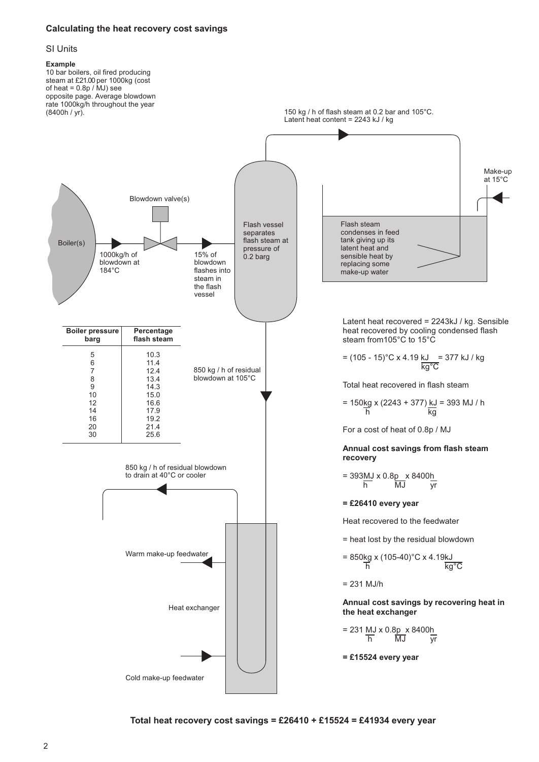### **Calculating the heat recovery cost savings**

#### SI Units

#### **Example**



**Total heat recovery cost savings = £26410 + £15524 = £41934 every year**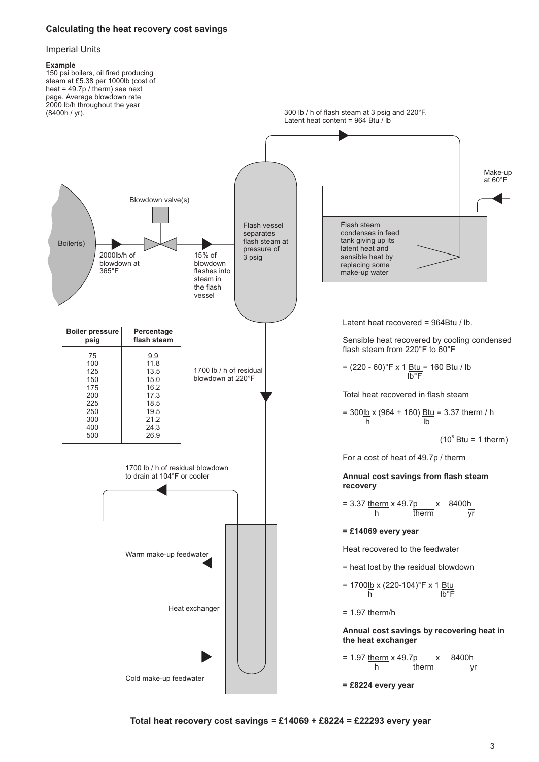### **Calculating the heat recovery cost savings**

#### Imperial Units

#### **Example**



**Total heat recovery cost savings = £14069 + £8224 = £22293 every year**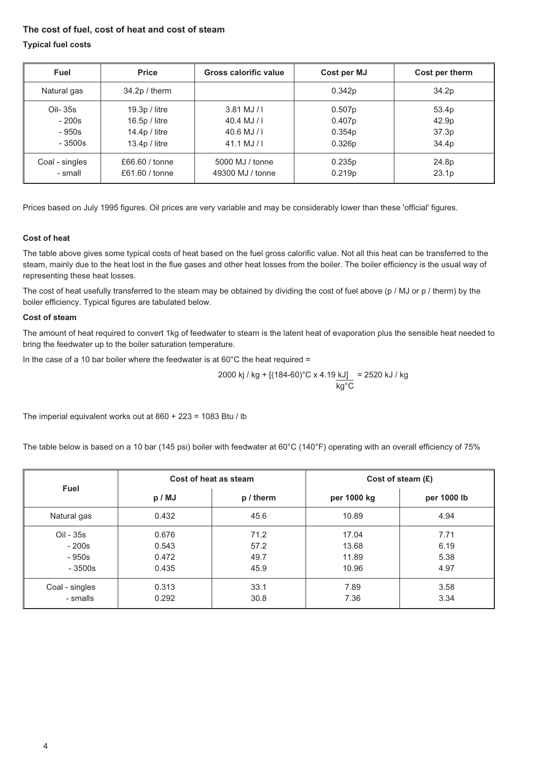## **The cost of fuel, cost of heat and cost of steam**

### **Typical fuel costs**

| Fuel                      | <b>Price</b>                     | Gross calorific value               | Cost per MJ      | Cost per therm             |
|---------------------------|----------------------------------|-------------------------------------|------------------|----------------------------|
| Natural gas               | $34.2p /$ therm                  |                                     | 0.342p           | 34.2p                      |
| Oil- 35s                  | $19.3p /$ litre                  | $3.81$ MJ / I                       | 0.507p           | 53.4p                      |
| $-200s$                   | $16.5p /$ litre                  | $40.4$ MJ / I                       | 0.407p           | 42.9 <sub>p</sub>          |
| $-950s$                   | $14.4p /$ litre                  | $40.6$ MJ / I                       | 0.354p           | 37.3 <sub>p</sub>          |
| $-3500s$                  | $13.4p /$ litre                  | $41.1$ MJ / I                       | 0.326p           | 34.4p                      |
| Coal - singles<br>- small | £66.60 / tonne<br>£61.60 / tonne | 5000 MJ / tonne<br>49300 MJ / tonne | 0.235p<br>0.219p | 24.8p<br>23.1 <sub>p</sub> |

Prices based on July 1995 figures. Oil prices are very variable and may be considerably lower than these 'official' figures.

### **Cost of heat**

The table above gives some typical costs of heat based on the fuel gross calorific value. Not all this heat can be transferred to the steam, mainly due to the heat lost in the flue gases and other heat losses from the boiler. The boiler efficiency is the usual way of representing these heat losses.

The cost of heat usefully transferred to the steam may be obtained by dividing the cost of fuel above (p / MJ or p / therm) by the boiler efficiency. Typical figures are tabulated below.

### **Cost of steam**

The amount of heat required to convert 1kg of feedwater to steam is the latent heat of evaporation plus the sensible heat needed to bring the feedwater up to the boiler saturation temperature.

In the case of a 10 bar boiler where the feedwater is at  $60^{\circ}$ C the heat required =

2000 kj / kg + [(184-60)°C x 4.19 kJ] = 2520 kJ / kg  
\n
$$
\frac{kg}{c}
$$

The imperial equivalent works out at 860 + 223 = 1083 Btu / lb

The table below is based on a 10 bar (145 psi) boiler with feedwater at 60°C (140°F) operating with an overall efficiency of 75%

|                | Cost of heat as steam |             | Cost of steam $(E)$ |             |  |
|----------------|-----------------------|-------------|---------------------|-------------|--|
| Fuel           | p / MJ                | $p /$ therm | per 1000 kg         | per 1000 lb |  |
| Natural gas    | 0.432                 | 45.6        | 10.89               | 4.94        |  |
| Oil - 35s      | 0.676                 | 71.2        | 17.04               | 7.71        |  |
| $-200s$        | 0.543                 | 57.2        | 13.68               | 6.19        |  |
| $-950s$        | 0.472                 | 49.7        | 11.89               | 5.38        |  |
| $-3500s$       | 0.435                 | 45.9        | 10.96               | 4.97        |  |
| Coal - singles | 0.313                 | 33.1        | 7.89                | 3.58        |  |
| - smalls       | 0.292                 | 30.8        | 7.36                | 3.34        |  |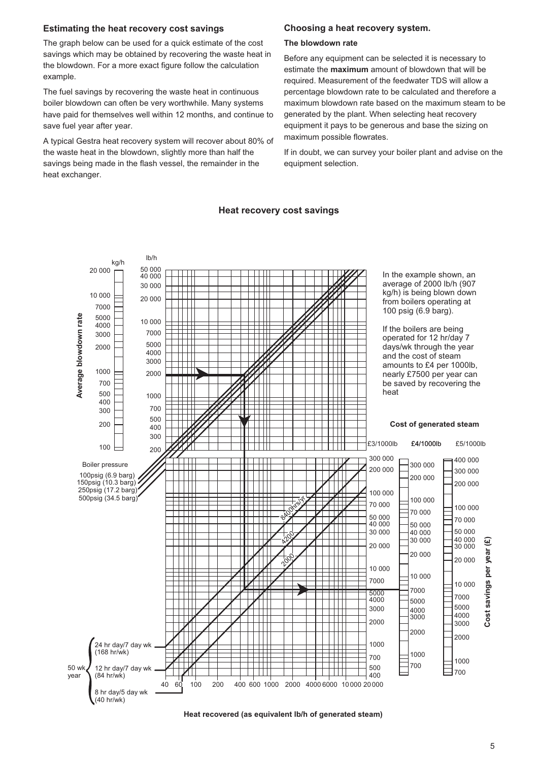#### **Estimating the heat recovery cost savings**

The graph below can be used for a quick estimate of the cost savings which may be obtained by recovering the waste heat in the blowdown. For a more exact figure follow the calculation example.

The fuel savings by recovering the waste heat in continuous boiler blowdown can often be very worthwhile. Many systems have paid for themselves well within 12 months, and continue to save fuel year after year.

A typical Gestra heat recovery system will recover about 80% of the waste heat in the blowdown, slightly more than half the savings being made in the flash vessel, the remainder in the heat exchanger.

### **Choosing a heat recovery system.**

#### **The blowdown rate**

Before any equipment can be selected it is necessary to estimate the **maximum** amount of blowdown that will be required. Measurement of the feedwater TDS will allow a percentage blowdown rate to be calculated and therefore a maximum blowdown rate based on the maximum steam to be generated by the plant. When selecting heat recovery equipment it pays to be generous and base the sizing on maximum possible flowrates.

If in doubt, we can survey your boiler plant and advise on the equipment selection.

#### **Heat recovery cost savings**



**Heat recovered (as equivalent lb/h of generated steam)**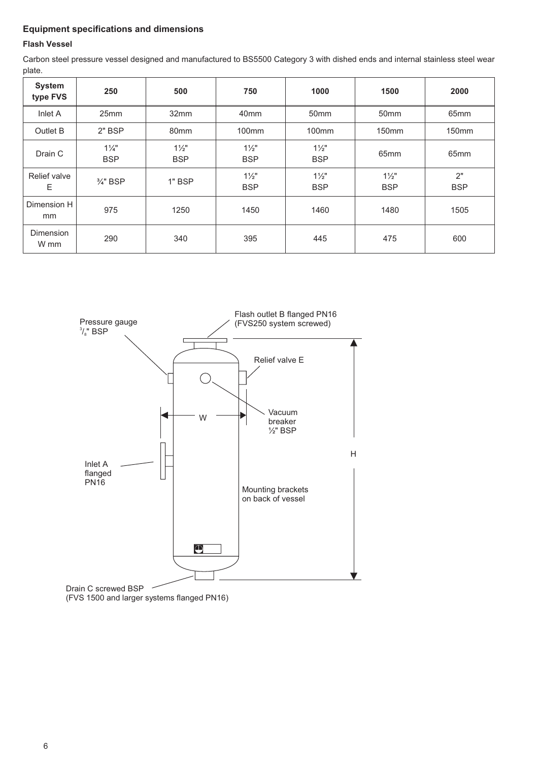# **Equipment specifications and dimensions**

## **Flash Vessel**

Carbon steel pressure vessel designed and manufactured to BS5500 Category 3 with dished ends and internal stainless steel wear plate.

| <b>System</b><br>type FVS | 250                          | 500                          | 750                          | 1000                         | 1500                         | 2000              |
|---------------------------|------------------------------|------------------------------|------------------------------|------------------------------|------------------------------|-------------------|
| Inlet A                   | 25 <sub>mm</sub>             | 32mm                         | 40 <sub>mm</sub>             | 50 <sub>mm</sub>             | 50 <sub>mm</sub>             | 65 <sub>mm</sub>  |
| Outlet B                  | $2"$ BSP                     | 80 <sub>mm</sub>             | 100 <sub>mm</sub>            | 100 <sub>mm</sub>            | 150 <sub>mm</sub>            | 150 <sub>mm</sub> |
| Drain C                   | $1\frac{1}{4}$<br><b>BSP</b> | $1\frac{1}{2}$<br><b>BSP</b> | $1\frac{1}{2}$<br><b>BSP</b> | $1\frac{1}{2}$<br><b>BSP</b> | 65 <sub>mm</sub>             | 65 <sub>mm</sub>  |
| Relief valve<br>Е         | $\frac{3}{4}$ " BSP          | $1"$ BSP                     | $1\frac{1}{2}$<br><b>BSP</b> | $1\frac{1}{2}$<br><b>BSP</b> | $1\frac{1}{2}$<br><b>BSP</b> | 2"<br><b>BSP</b>  |
| Dimension H<br>mm         | 975                          | 1250                         | 1450                         | 1460                         | 1480                         | 1505              |
| Dimension<br>W mm         | 290                          | 340                          | 395                          | 445                          | 475                          | 600               |



Drain C screwed BSP (FVS 1500 and larger systems flanged PN16)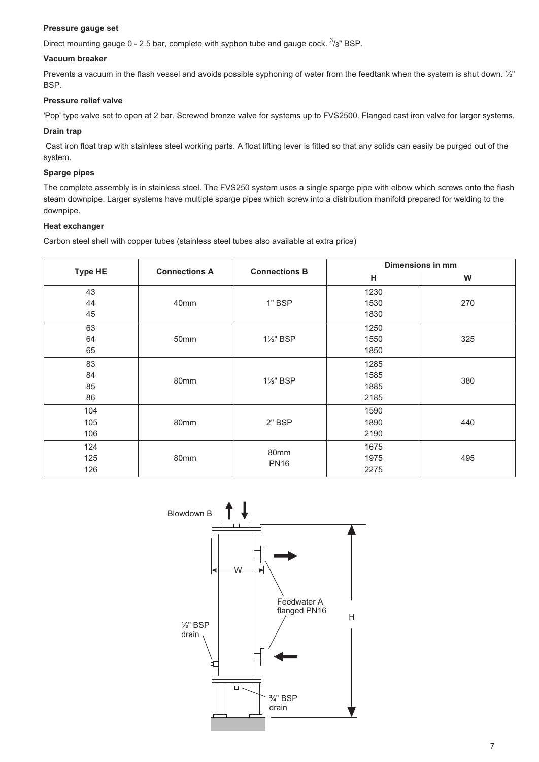### **Pressure gauge set**

Direct mounting gauge 0 - 2.5 bar, complete with syphon tube and gauge cock.  $^{3}/_{8}$ " BSP.

### **Vacuum breaker**

Prevents a vacuum in the flash vessel and avoids possible syphoning of water from the feedtank when the system is shut down.  $\frac{1}{2}$ " BSP.

### **Pressure relief valve**

'Pop' type valve set to open at 2 bar. Screwed bronze valve for systems up to FVS2500. Flanged cast iron valve for larger systems.

### **Drain trap**

Cast iron float trap with stainless steel working parts. A float lifting lever is fitted so that any solids can easily be purged out of the system.

### **Sparge pipes**

The complete assembly is in stainless steel. The FVS250 system uses a single sparge pipe with elbow which screws onto the flash steam downpipe. Larger systems have multiple sparge pipes which screw into a distribution manifold prepared for welding to the downpipe.

### **Heat exchanger**

Carbon steel shell with copper tubes (stainless steel tubes also available at extra price)

| <b>Type HE</b> | <b>Connections A</b> | <b>Connections B</b> | Dimensions in mm |     |  |
|----------------|----------------------|----------------------|------------------|-----|--|
|                |                      |                      | Н                | W   |  |
| 43             | 40mm                 | 1" BSP               | 1230             |     |  |
| 44             |                      |                      | 1530             | 270 |  |
| 45             |                      |                      | 1830             |     |  |
| 63             | 50mm                 | 1½" BSP              | 1250             |     |  |
| 64             |                      |                      | 1550             | 325 |  |
| 65             |                      |                      | 1850             |     |  |
| 83             | 80mm                 | 1½" BSP              | 1285             | 380 |  |
| 84             |                      |                      | 1585             |     |  |
| 85             |                      |                      | 1885             |     |  |
| 86             |                      |                      | 2185             |     |  |
| 104            | 80mm                 | 2" BSP               | 1590             |     |  |
| 105            |                      |                      | 1890             | 440 |  |
| 106            |                      |                      | 2190             |     |  |
| 124            | 80mm                 | 80mm<br><b>PN16</b>  | 1675             |     |  |
| 125            |                      |                      | 1975             | 495 |  |
| 126            |                      |                      | 2275             |     |  |